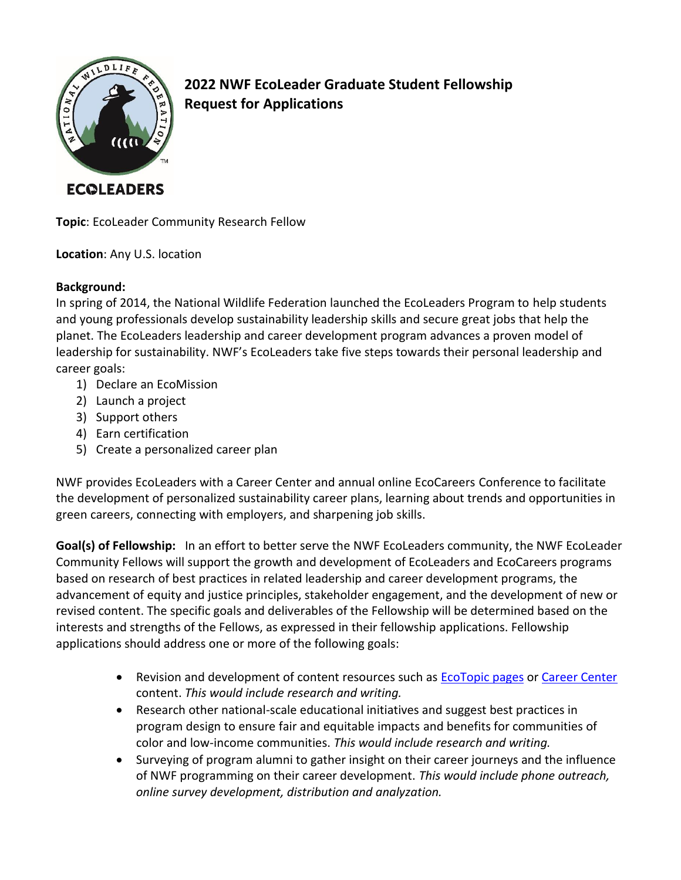

**2022 NWF EcoLeader Graduate Student Fellowship Request for Applications**

**ECOLEADERS** 

**Topic**: EcoLeader Community Research Fellow

**Location**: Any U.S. location

# **Background:**

In spring of 2014, the National Wildlife Federation launched the EcoLeaders Program to help students and young professionals develop sustainability leadership skills and secure great jobs that help the planet. The EcoLeaders leadership and career development program advances a proven model of leadership for sustainability. NWF's EcoLeaders take five steps towards their personal leadership and career goals:

- 1) Declare an EcoMission
- 2) Launch a project
- 3) Support others
- 4) Earn certification
- 5) Create a personalized career plan

NWF provides EcoLeaders with a Career Center and annual online EcoCareers Conference to facilitate the development of personalized sustainability career plans, learning about trends and opportunities in green careers, connecting with employers, and sharpening job skills.

**Goal(s) of Fellowship:** In an effort to better serve the NWF EcoLeaders community, the NWF EcoLeader Community Fellows will support the growth and development of EcoLeaders and EcoCareers programs based on research of best practices in related leadership and career development programs, the advancement of equity and justice principles, stakeholder engagement, and the development of new or revised content. The specific goals and deliverables of the Fellowship will be determined based on the interests and strengths of the Fellows, as expressed in their fellowship applications. Fellowship applications should address one or more of the following goals:

- Revision and development of content resources such as [EcoTopic pages](https://www.nwfecoleaders.org/explore-ecotopics) or [Career Center](https://www.nwfecoleaders.org/careercenter) content. *This would include research and writing.*
- Research other national-scale educational initiatives and suggest best practices in program design to ensure fair and equitable impacts and benefits for communities of color and low-income communities. *This would include research and writing.*
- Surveying of program alumni to gather insight on their career journeys and the influence of NWF programming on their career development. *This would include phone outreach, online survey development, distribution and analyzation.*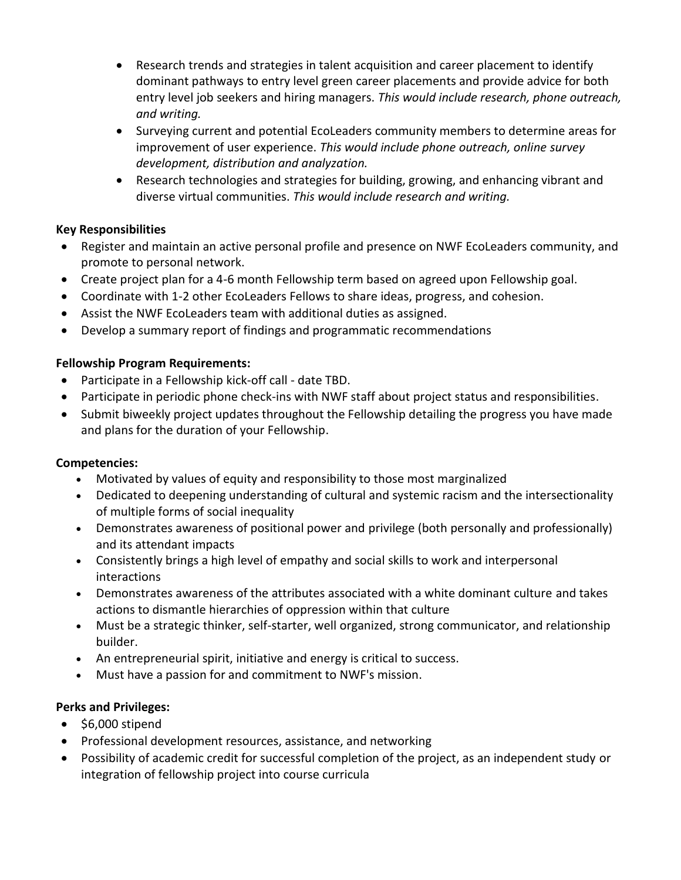- Research trends and strategies in talent acquisition and career placement to identify dominant pathways to entry level green career placements and provide advice for both entry level job seekers and hiring managers. *This would include research, phone outreach, and writing.*
- Surveying current and potential EcoLeaders community members to determine areas for improvement of user experience. *This would include phone outreach, online survey development, distribution and analyzation.*
- Research technologies and strategies for building, growing, and enhancing vibrant and diverse virtual communities. *This would include research and writing.*

# **Key Responsibilities**

- Register and maintain an active personal profile and presence on NWF EcoLeaders community, and promote to personal network.
- Create project plan for a 4-6 month Fellowship term based on agreed upon Fellowship goal.
- Coordinate with 1-2 other EcoLeaders Fellows to share ideas, progress, and cohesion.
- Assist the NWF EcoLeaders team with additional duties as assigned.
- Develop a summary report of findings and programmatic recommendations

# **Fellowship Program Requirements:**

- Participate in a Fellowship kick-off call date TBD.
- Participate in periodic phone check-ins with NWF staff about project status and responsibilities.
- Submit biweekly project updates throughout the Fellowship detailing the progress you have made and plans for the duration of your Fellowship.

#### **Competencies:**

- Motivated by values of equity and responsibility to those most marginalized
- Dedicated to deepening understanding of cultural and systemic racism and the intersectionality of multiple forms of social inequality
- Demonstrates awareness of positional power and privilege (both personally and professionally) and its attendant impacts
- Consistently brings a high level of empathy and social skills to work and interpersonal interactions
- Demonstrates awareness of the attributes associated with a white dominant culture and takes actions to dismantle hierarchies of oppression within that culture
- Must be a strategic thinker, self-starter, well organized, strong communicator, and relationship builder.
- An entrepreneurial spirit, initiative and energy is critical to success.
- Must have a passion for and commitment to NWF's mission.

#### **Perks and Privileges:**

- \$6,000 stipend
- Professional development resources, assistance, and networking
- Possibility of academic credit for successful completion of the project, as an independent study or integration of fellowship project into course curricula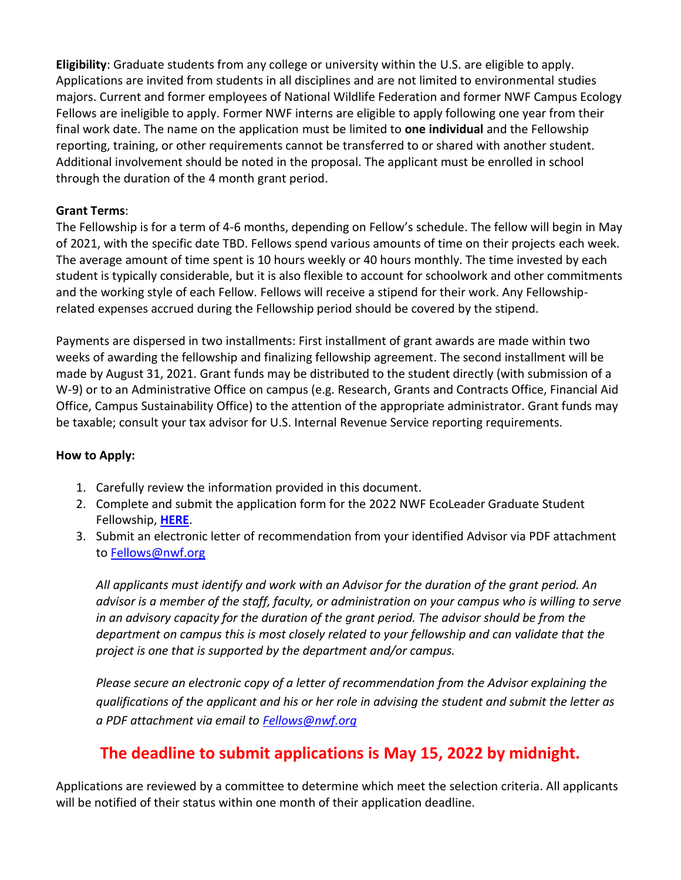**Eligibility**: Graduate students from any college or university within the U.S. are eligible to apply. Applications are invited from students in all disciplines and are not limited to environmental studies majors. Current and former employees of National Wildlife Federation and former NWF Campus Ecology Fellows are ineligible to apply. Former NWF interns are eligible to apply following one year from their final work date. The name on the application must be limited to **one individual** and the Fellowship reporting, training, or other requirements cannot be transferred to or shared with another student. Additional involvement should be noted in the proposal. The applicant must be enrolled in school through the duration of the 4 month grant period.

# **Grant Terms**:

The Fellowship is for a term of 4-6 months, depending on Fellow's schedule. The fellow will begin in May of 2021, with the specific date TBD. Fellows spend various amounts of time on their projects each week. The average amount of time spent is 10 hours weekly or 40 hours monthly. The time invested by each student is typically considerable, but it is also flexible to account for schoolwork and other commitments and the working style of each Fellow. Fellows will receive a stipend for their work. Any Fellowshiprelated expenses accrued during the Fellowship period should be covered by the stipend.

Payments are dispersed in two installments: First installment of grant awards are made within two weeks of awarding the fellowship and finalizing fellowship agreement. The second installment will be made by August 31, 2021. Grant funds may be distributed to the student directly (with submission of a W-9) or to an Administrative Office on campus (e.g. Research, Grants and Contracts Office, Financial Aid Office, Campus Sustainability Office) to the attention of the appropriate administrator. Grant funds may be taxable; consult your tax advisor for U.S. Internal Revenue Service reporting requirements.

#### **How to Apply:**

- 1. Carefully review the information provided in this document.
- 2. Complete and submit the application form for the 2022 NWF EcoLeader Graduate Student Fellowship, **[HERE](https://docs.google.com/forms/d/e/1FAIpQLSfA3qU5KuQG0M14WUebEgXMrL1zk3gl4a5lPf-nuWMyaEGYJA/viewform?usp=sf_link)**.
- 3. Submit an electronic letter of recommendation from your identified Advisor via PDF attachment to [Fellows@nwf.org](mailto:Fellows@nwf.org)

*All applicants must identify and work with an Advisor for the duration of the grant period. An advisor is a member of the staff, faculty, or administration on your campus who is willing to serve in an advisory capacity for the duration of the grant period. The advisor should be from the department on campus this is most closely related to your fellowship and can validate that the project is one that is supported by the department and/or campus.* 

*Please secure an electronic copy of a letter of recommendation from the Advisor explaining the qualifications of the applicant and his or her role in advising the student and submit the letter as a PDF attachment via email to [Fellows@nwf.org](mailto:Fellows@nwf.org)*

# **The deadline to submit applications is May 15, 2022 by midnight.**

Applications are reviewed by a committee to determine which meet the selection criteria. All applicants will be notified of their status within one month of their application deadline.